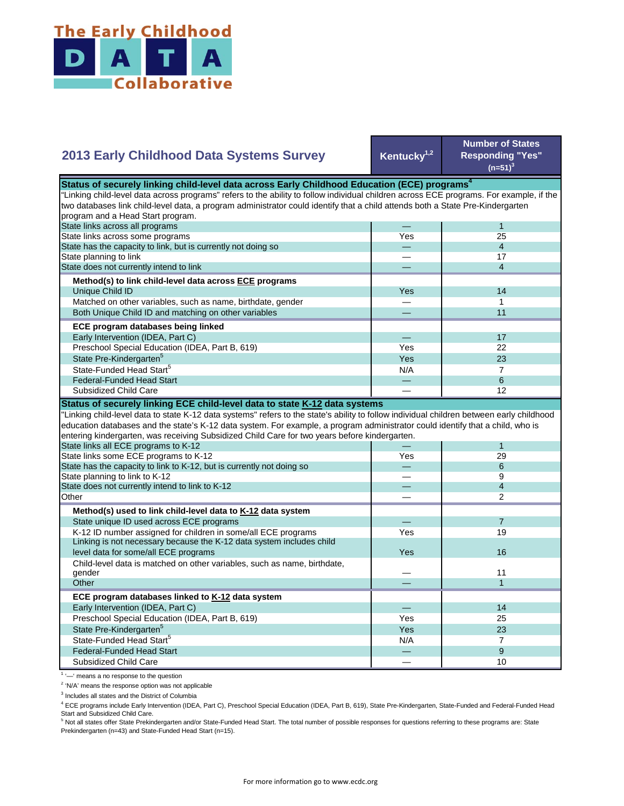

## **Kentucky1,2 Number of States Responding "Yes"**   $(n=51)^{3}$ — 1 Yes 25 — 4 — 17 — 4 Yes **I** 14 — 1 — 11 — 17 Yes **I** 22  $Yes$  23  $N/A$  7 **2013 Early Childhood Data Systems Survey** Status of securely linking child-level data across Early Childhood Education (ECE) programs<sup>4</sup> "Linking child-level data across programs" refers to the ability to follow individual children across ECE programs. For example, if the two databases link child-level data, a program administrator could identify that a child attends both a State Pre-Kindergarten program and a Head Start program. State links across all programs State links across some programs Matched on other variables, such as name, birthdate, gender Both Unique Child ID and matching on other variables  **ECE program databases being linked**  Early Intervention (IDEA, Part C) Preschool Special Education (IDEA, Part B, 619) State has the capacity to link, but is currently not doing so State planning to link State does not currently intend to link  **Method(s) to link child-level data across ECE programs** Unique Child ID State Pre-Kindergarten<sup>5</sup> State-Funded Head Start<sup>5</sup> — 6 — 12 — 1 Yes 29 — 6 — 9 — 4 — 2 — 7 Yes **I** 19 Yes — 11 — 1 — 14 Yes I 25 Yes 23  $N/A$  7 — 9 level data for some/all ECE programs 16 and 200 minutes and 200 minutes of the state of the state of the state of the state of the state of the state of the state of the state of the state of the state of the state of the "Linking child-level data to state K-12 data systems" refers to the state's ability to follow individual children between early childhood education databases and the state's K-12 data system. For example, a program administrator could identify that a child, who is entering kindergarten, was receiving Subsidized Child Care for two years before kindergarten. State links all ECE programs to K-12 State links some ECE programs to K-12 State has the capacity to link to K-12, but is currently not doing so State planning to link to K-12 State does not currently intend to link to K-12 Federal-Funded Head Start Subsidized Child Care **Status of securely linking ECE child-level data to state K-12 data systems**  Child-level data is matched on other variables, such as name, birthdate, gender **Other ECE program databases linked to K-12 data system** Early Intervention (IDEA, Part C) **Other Method(s) used to link child-level data to K-12 data system** State unique ID used across ECE programs K-12 ID number assigned for children in some/all ECE programs Linking is not necessary because the K-12 data system includes child Preschool Special Education (IDEA, Part B, 619) State Pre-Kindergarten<sup>5</sup> State-Funded Head Start<sup>5</sup> Federal-Funded Head Start

Subsidized Child Care

<sup>1</sup> '-' means a no response to the question

<sup>2</sup> 'N/A' means the response option was not applicable

<sup>3</sup> Includes all states and the District of Columbia

<sup>4</sup> ECE programs include Early Intervention (IDEA, Part C), Preschool Special Education (IDEA, Part B, 619), State Pre-Kindergarten, State-Funded and Federal-Funded Head Start and Subsidized Child Care.

 $-$  10

<sup>5</sup> Not all states offer State Prekindergarten and/or State-Funded Head Start. The total number of possible responses for questions referring to these programs are: State Prekindergarten (n=43) and State-Funded Head Start (n=15).